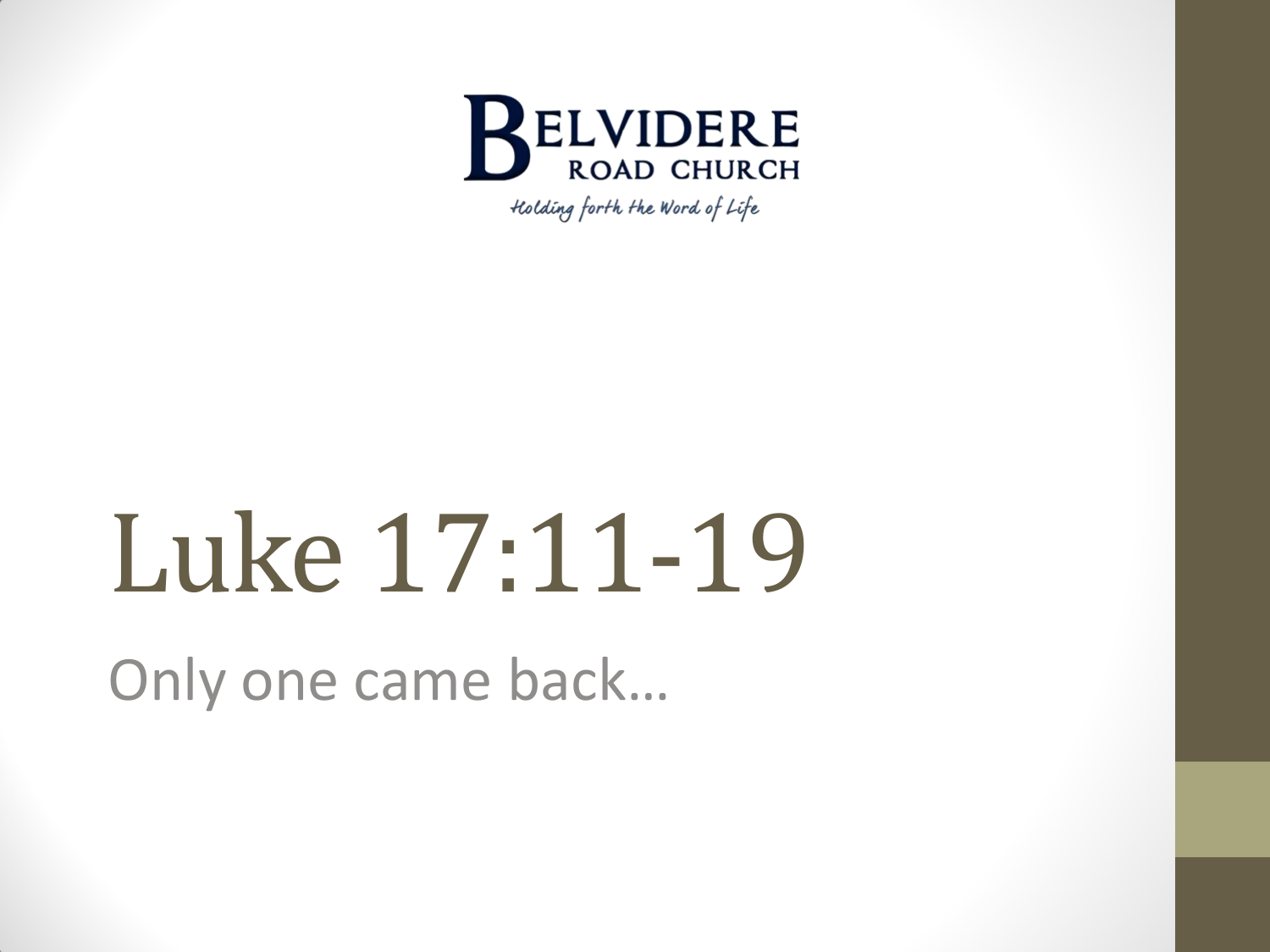

Holding forth the Word of Life

# Luke 17:11-19

Only one came back…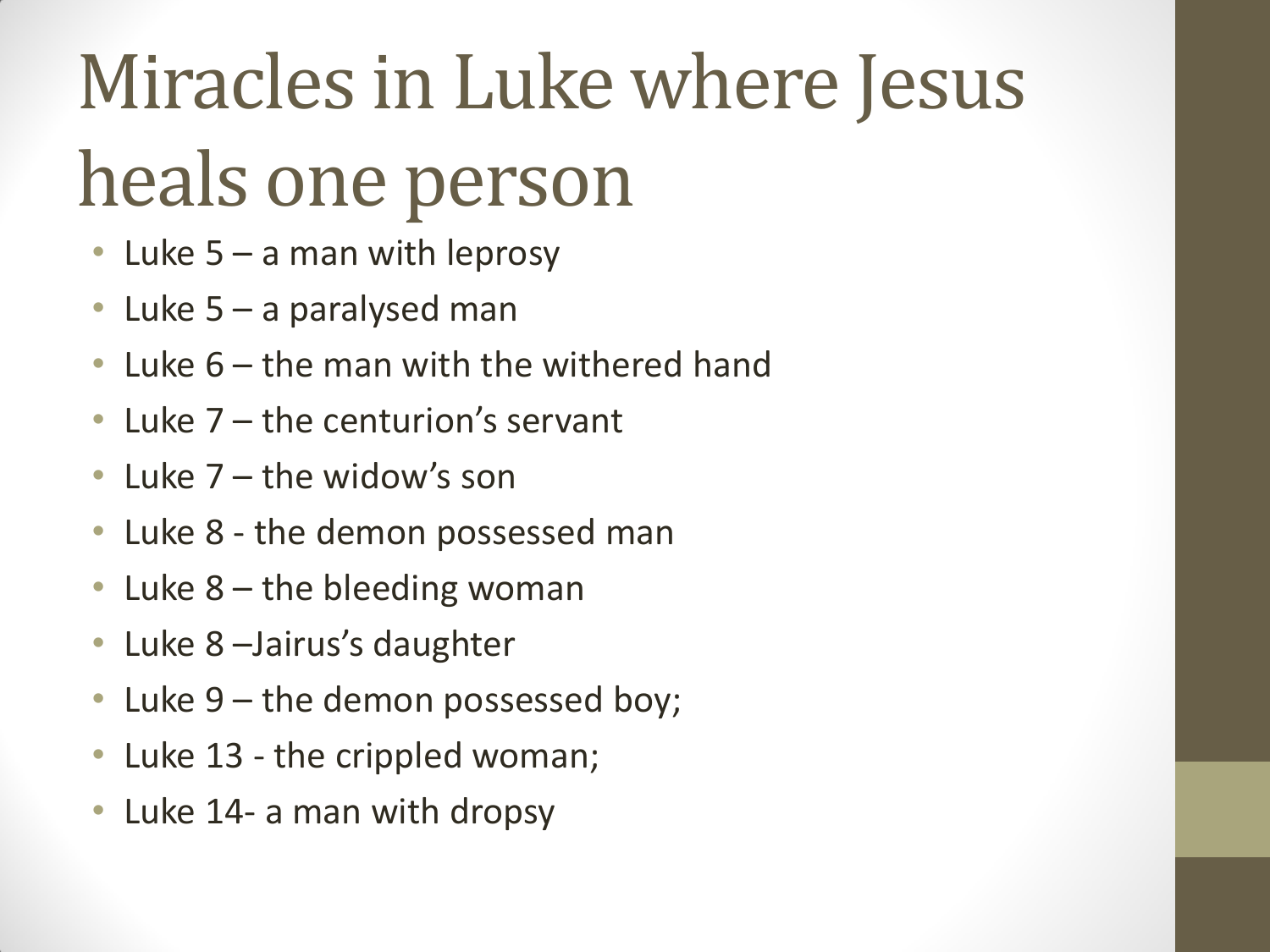# Miracles in Luke where Jesus heals one person

- Luke 5 a man with leprosy
- Luke 5 a paralysed man
- Luke 6 the man with the withered hand
- Luke 7 the centurion's servant
- Luke 7 the widow's son
- Luke 8 the demon possessed man
- Luke 8 the bleeding woman
- Luke 8 Jairus's daughter
- Luke 9 the demon possessed boy;
- Luke 13 the crippled woman;
- Luke 14- a man with dropsy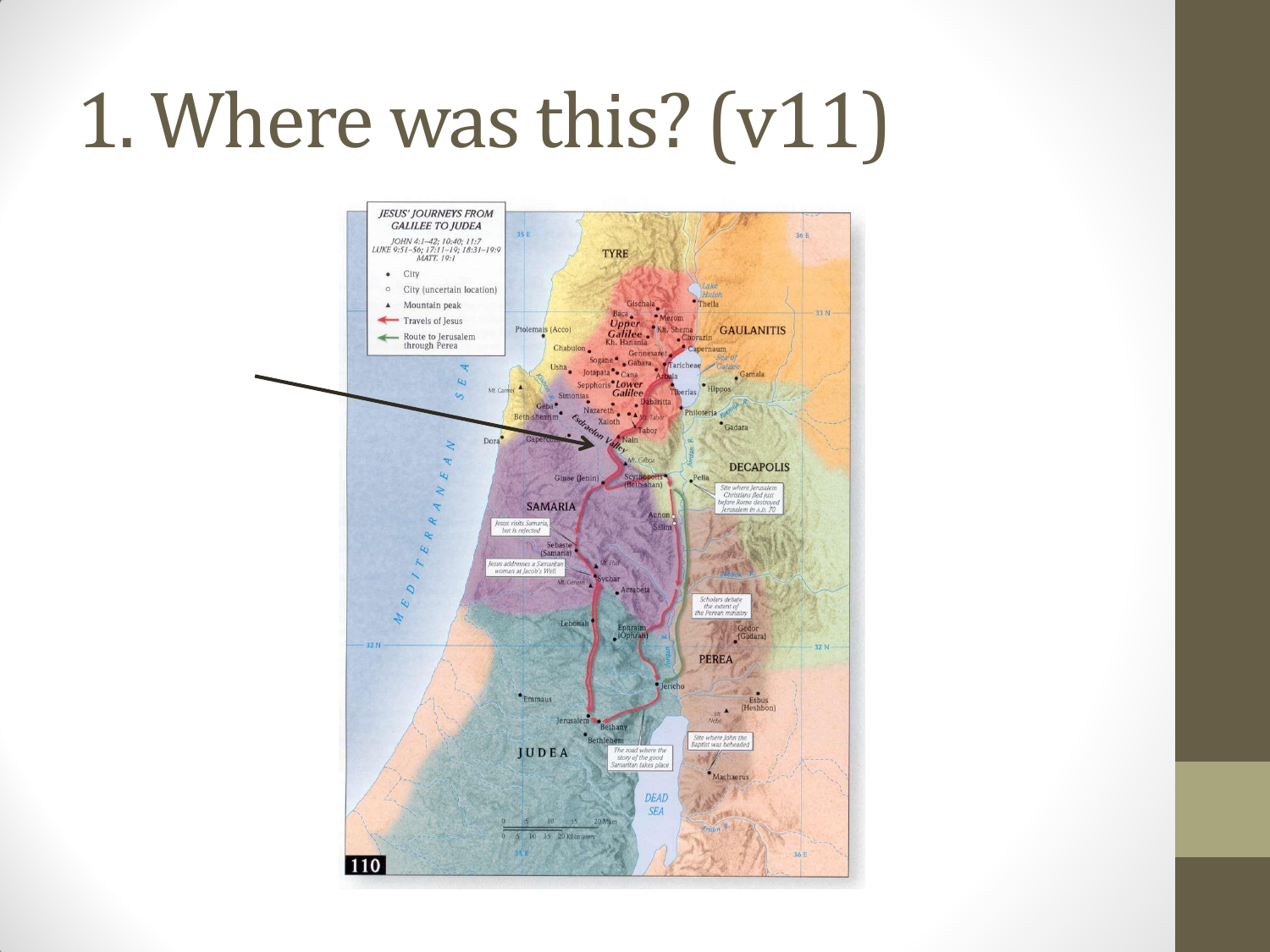#### 1. Where was this? (v11)

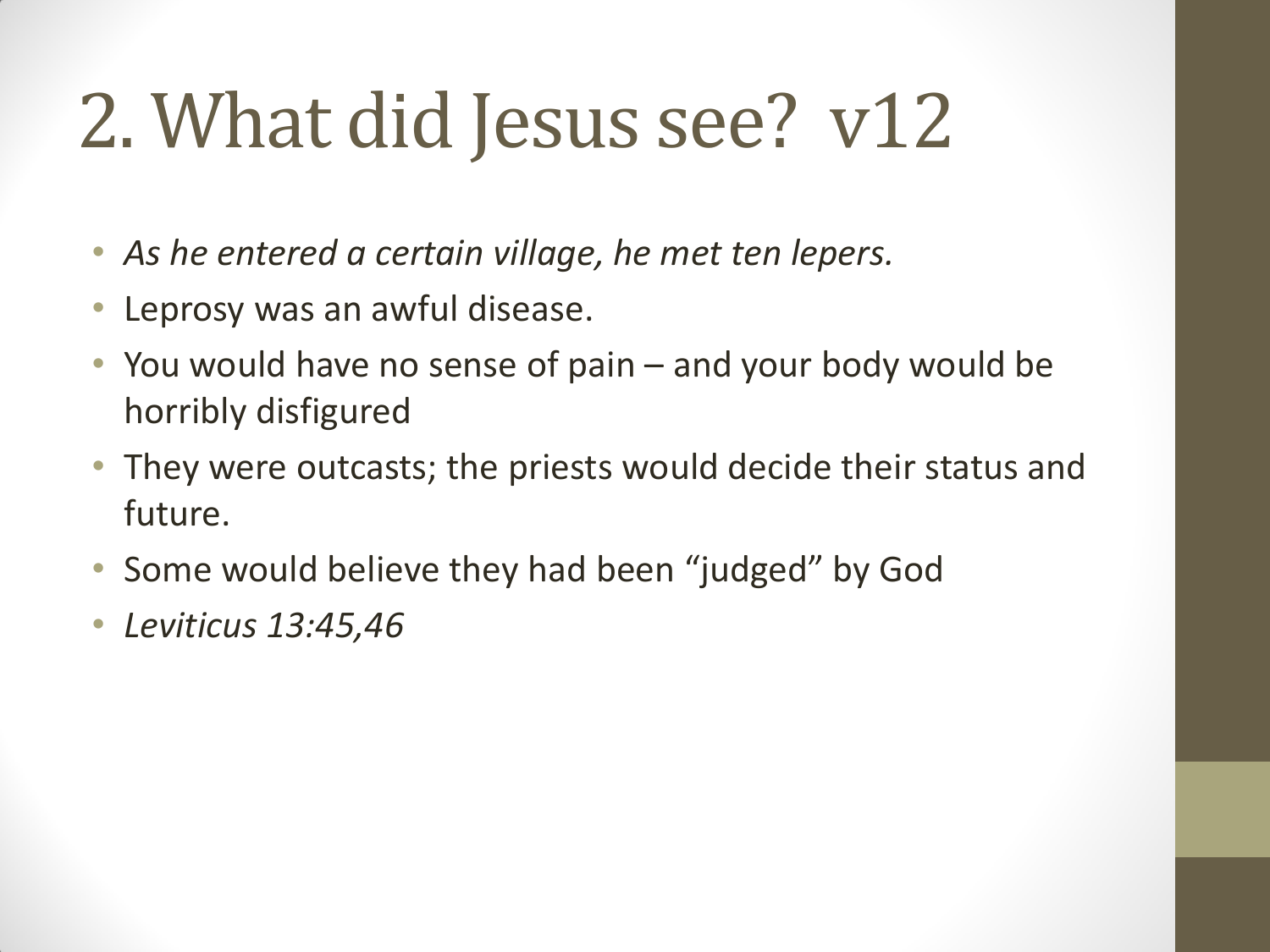## 2. What did Jesus see? v12

- *As he entered a certain village, he met ten lepers.*
- Leprosy was an awful disease.
- You would have no sense of pain and your body would be horribly disfigured
- They were outcasts; the priests would decide their status and future.
- Some would believe they had been "judged" by God
- *Leviticus 13:45,46*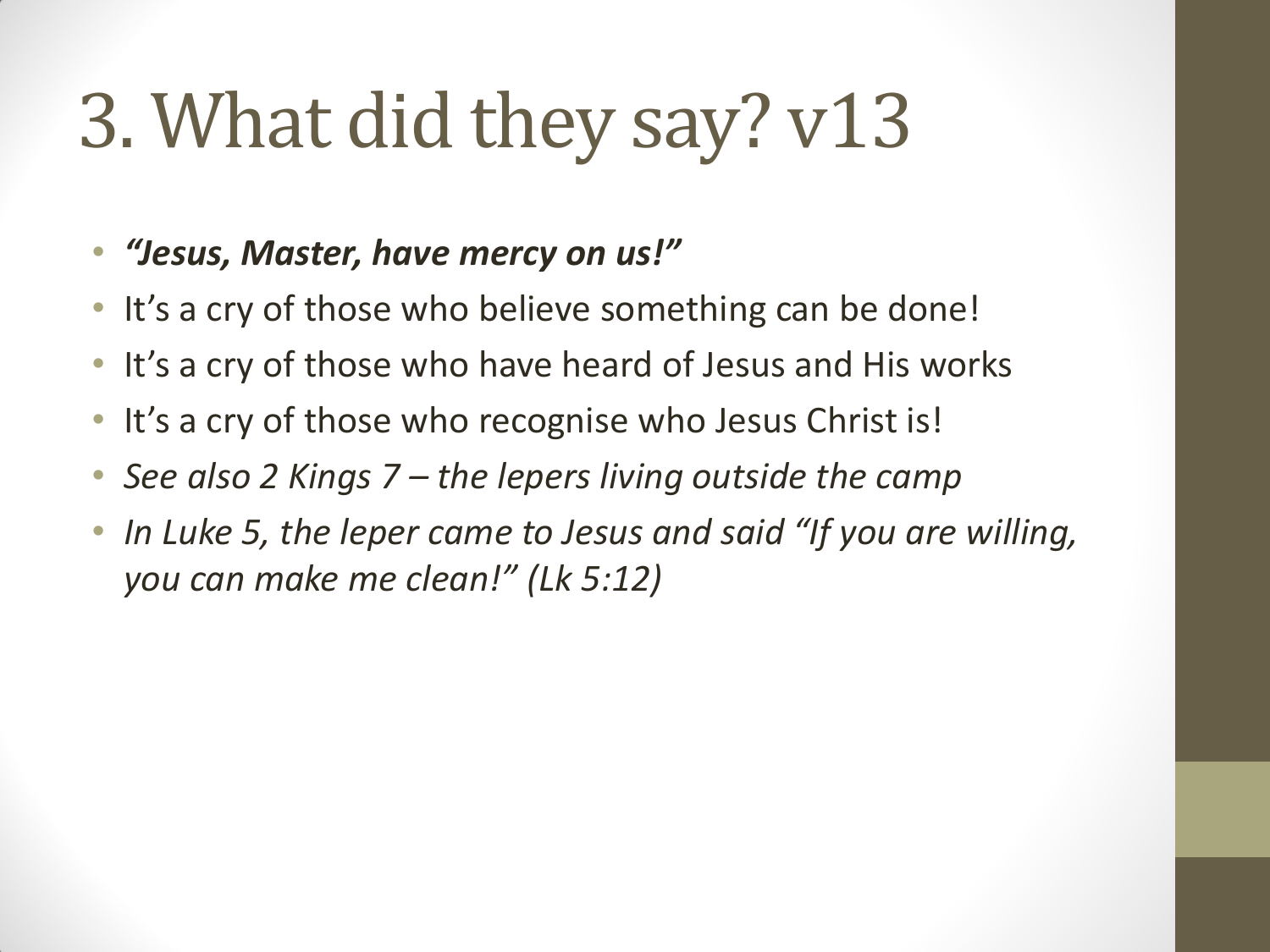## 3. What did they say? v13

#### • *"Jesus, Master, have mercy on us!"*

- It's a cry of those who believe something can be done!
- It's a cry of those who have heard of Jesus and His works
- It's a cry of those who recognise who Jesus Christ is!
- *See also 2 Kings 7 – the lepers living outside the camp*
- *In Luke 5, the leper came to Jesus and said "If you are willing, you can make me clean!" (Lk 5:12)*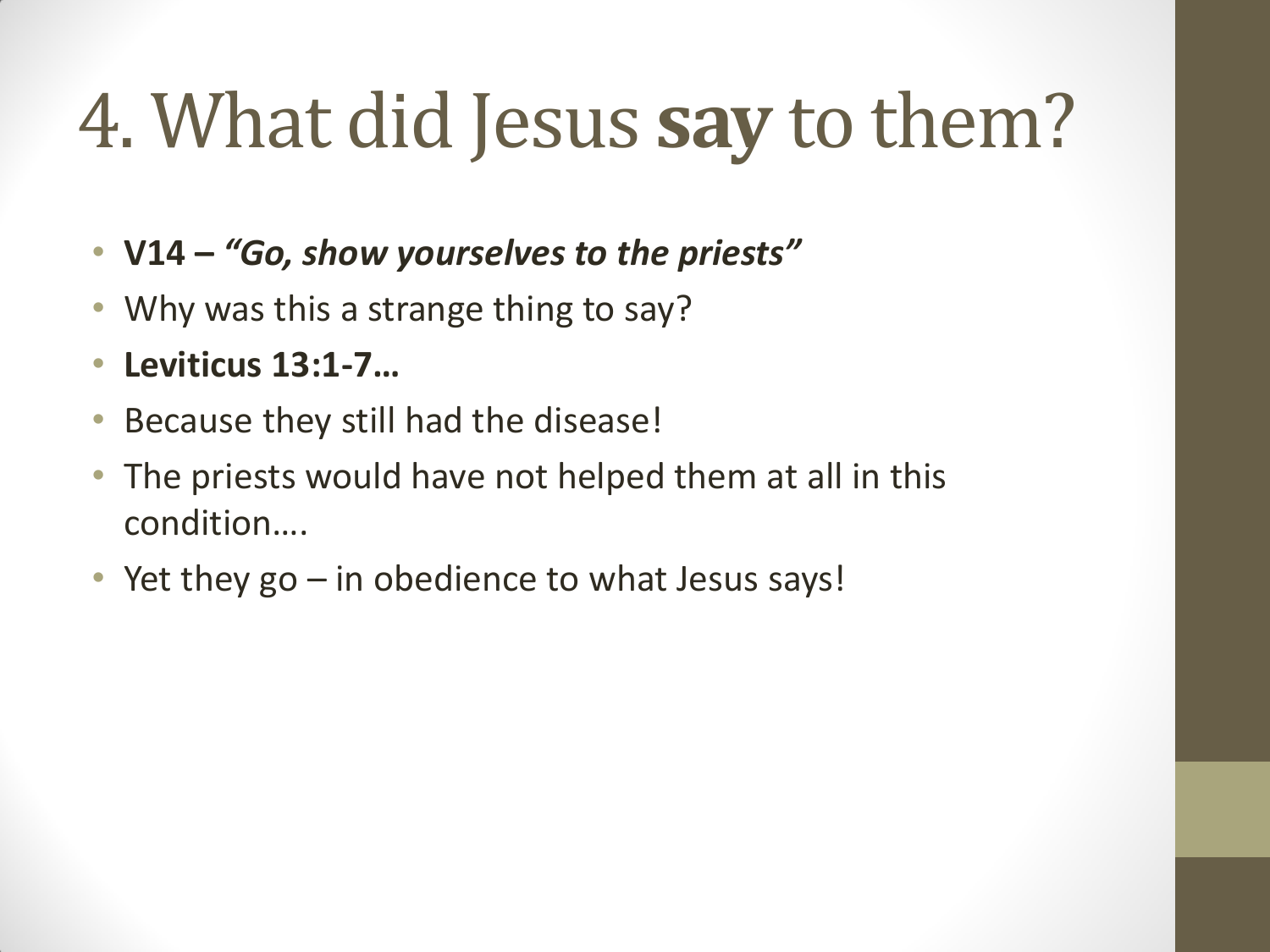# 4. What did Jesus **say** to them?

- **V14 –** *"Go, show yourselves to the priests"*
- Why was this a strange thing to say?
- **Leviticus 13:1-7…**
- Because they still had the disease!
- The priests would have not helped them at all in this condition….
- Yet they go in obedience to what Jesus says!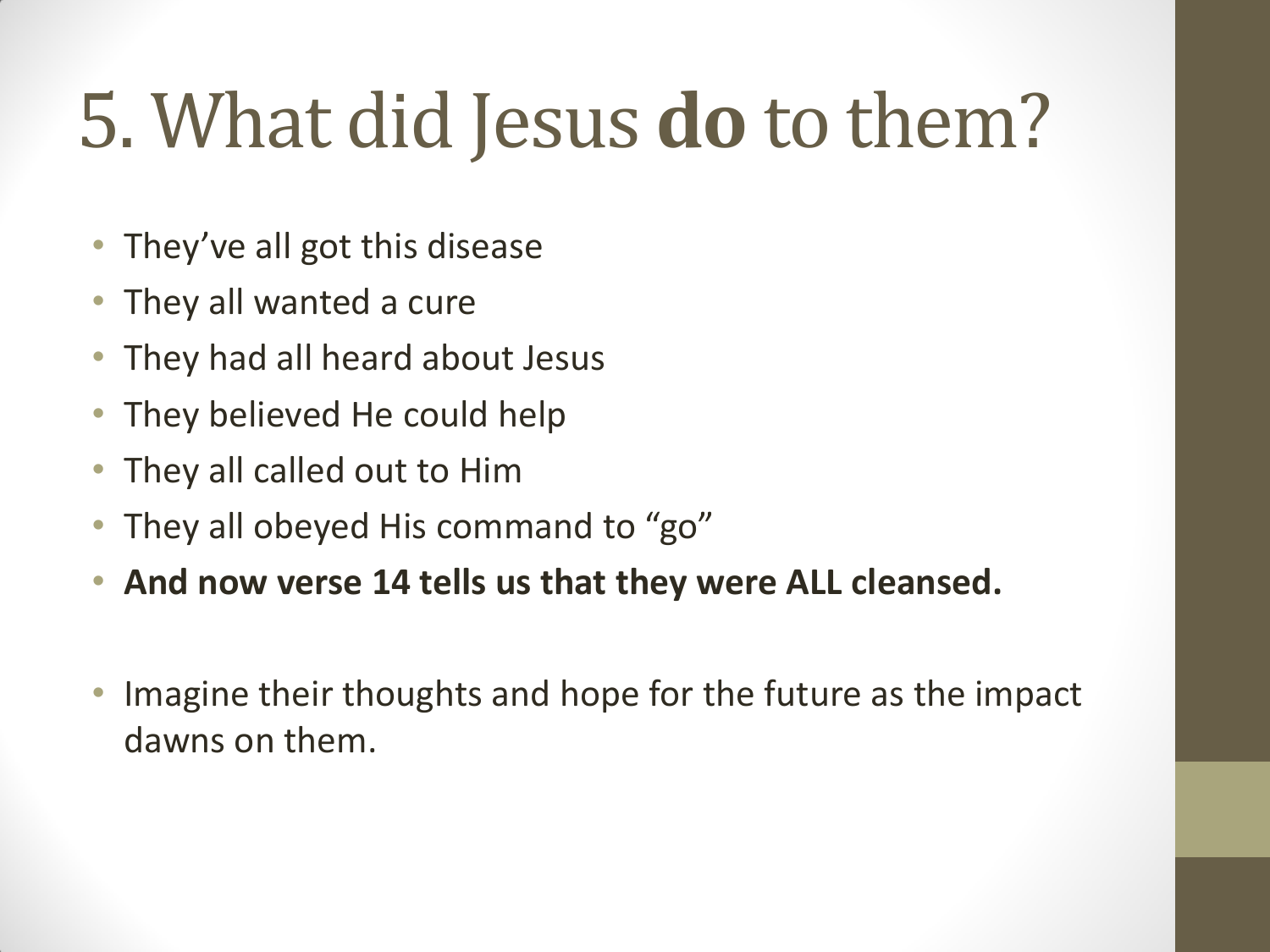# 5. What did Jesus **do** to them?

- They've all got this disease
- They all wanted a cure
- They had all heard about Jesus
- They believed He could help
- They all called out to Him
- They all obeyed His command to "go"
- **And now verse 14 tells us that they were ALL cleansed.**
- Imagine their thoughts and hope for the future as the impact dawns on them.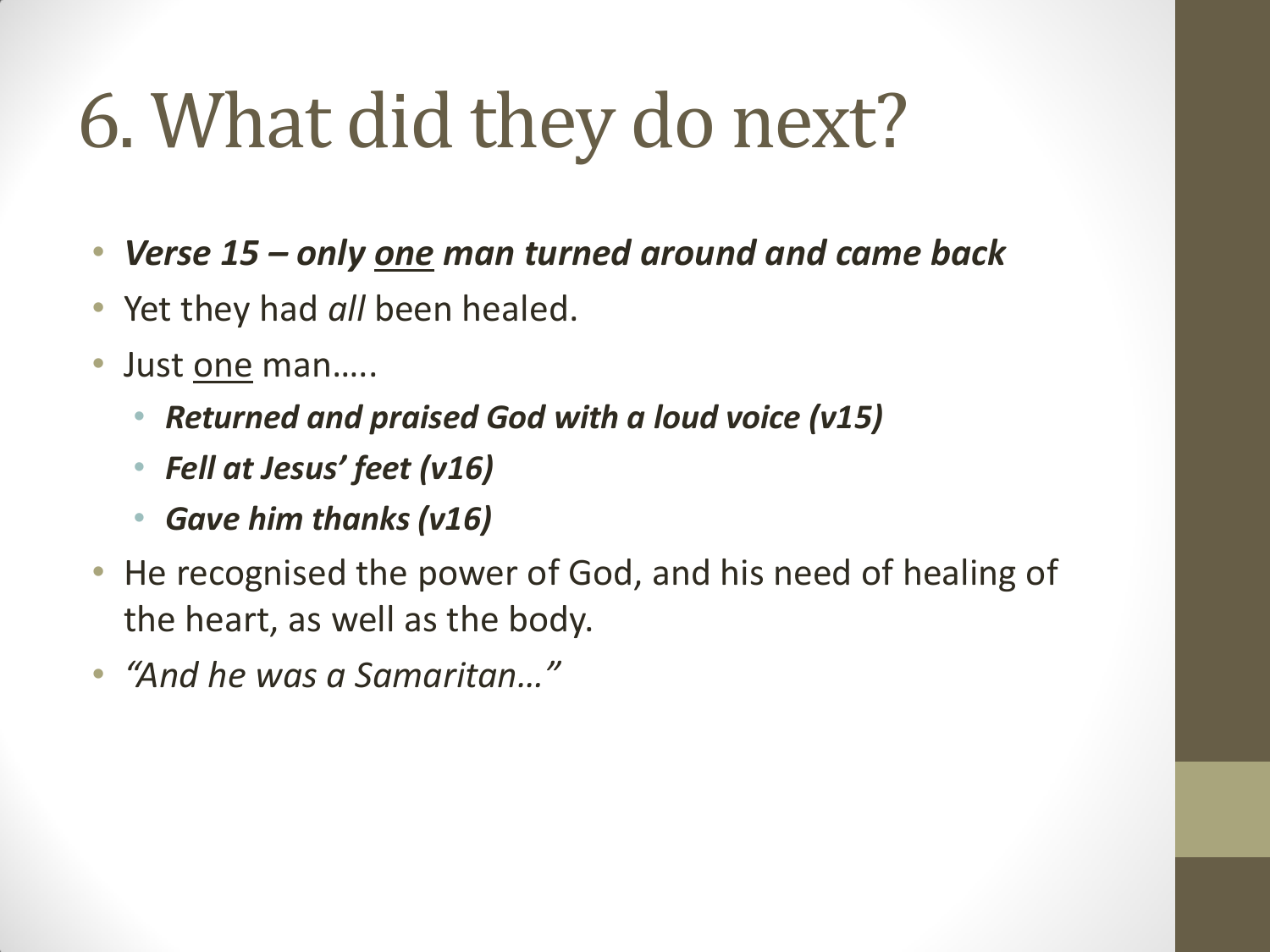# 6. What did they do next?

- *Verse 15 – only one man turned around and came back*
- Yet they had *all* been healed.
- Just <u>one</u> man.....
	- *Returned and praised God with a loud voice (v15)*
	- *Fell at Jesus' feet (v16)*
	- *Gave him thanks (v16)*
- He recognised the power of God, and his need of healing of the heart, as well as the body.
- *"And he was a Samaritan…"*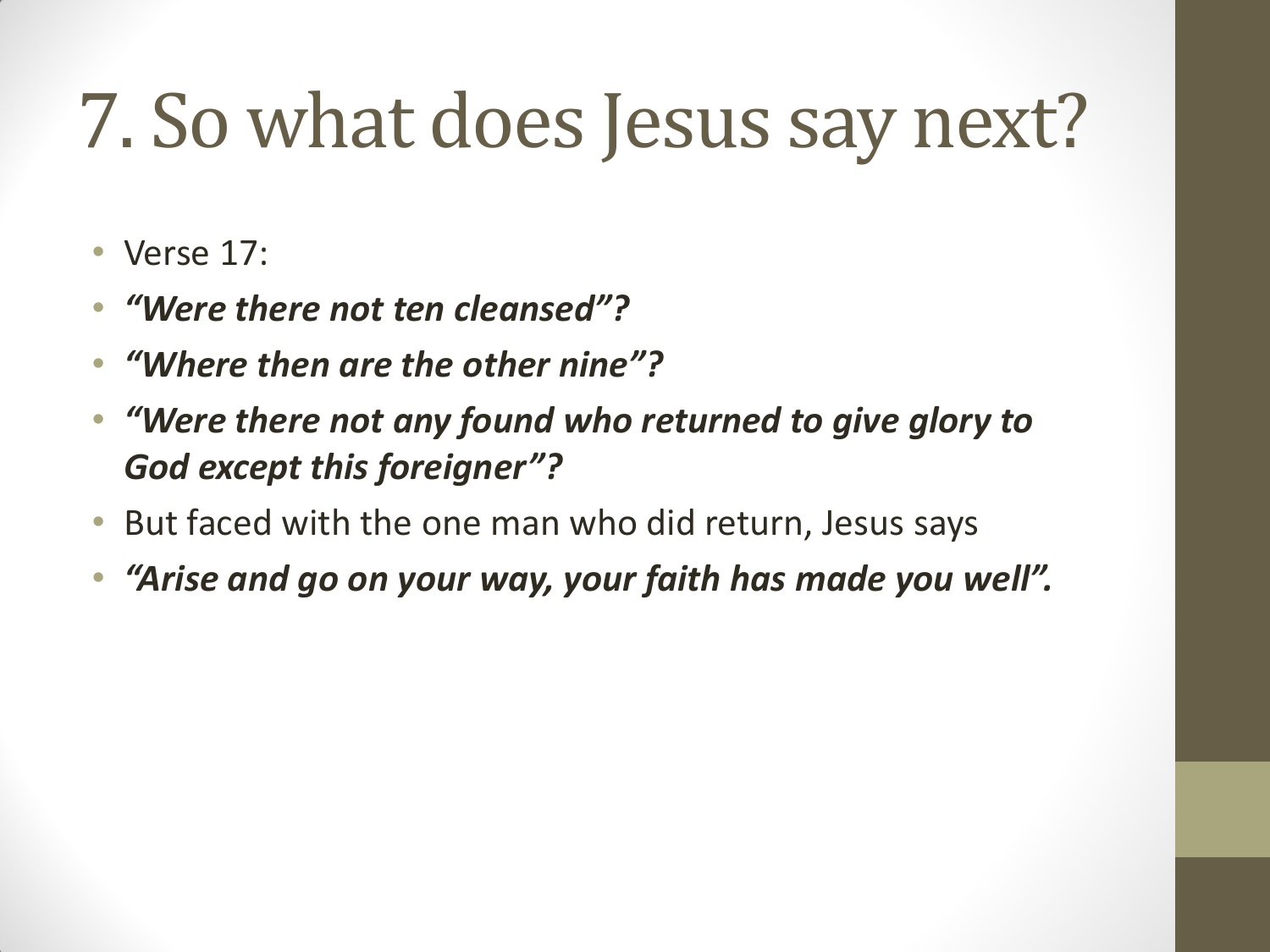## 7. So what does Jesus say next?

- Verse 17:
- *"Were there not ten cleansed"?*
- *"Where then are the other nine"?*
- *"Were there not any found who returned to give glory to God except this foreigner"?*
- But faced with the one man who did return, Jesus says
- *"Arise and go on your way, your faith has made you well".*